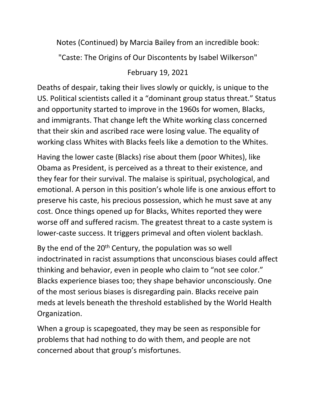Notes (Continued) by Marcia Bailey from an incredible book:

"Caste: The Origins of Our Discontents by Isabel Wilkerson"

## February 19, 2021

Deaths of despair, taking their lives slowly or quickly, is unique to the US. Political scientists called it a "dominant group status threat." Status and opportunity started to improve in the 1960s for women, Blacks, and immigrants. That change left the White working class concerned that their skin and ascribed race were losing value. The equality of working class Whites with Blacks feels like a demotion to the Whites.

Having the lower caste (Blacks) rise about them (poor Whites), like Obama as President, is perceived as a threat to their existence, and they fear for their survival. The malaise is spiritual, psychological, and emotional. A person in this position's whole life is one anxious effort to preserve his caste, his precious possession, which he must save at any cost. Once things opened up for Blacks, Whites reported they were worse off and suffered racism. The greatest threat to a caste system is lower-caste success. It triggers primeval and often violent backlash.

By the end of the  $20<sup>th</sup>$  Century, the population was so well indoctrinated in racist assumptions that unconscious biases could affect thinking and behavior, even in people who claim to "not see color." Blacks experience biases too; they shape behavior unconsciously. One of the most serious biases is disregarding pain. Blacks receive pain meds at levels beneath the threshold established by the World Health Organization.

When a group is scapegoated, they may be seen as responsible for problems that had nothing to do with them, and people are not concerned about that group's misfortunes.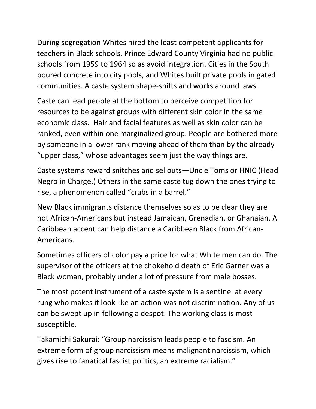During segregation Whites hired the least competent applicants for teachers in Black schools. Prince Edward County Virginia had no public schools from 1959 to 1964 so as avoid integration. Cities in the South poured concrete into city pools, and Whites built private pools in gated communities. A caste system shape-shifts and works around laws.

Caste can lead people at the bottom to perceive competition for resources to be against groups with different skin color in the same economic class. Hair and facial features as well as skin color can be ranked, even within one marginalized group. People are bothered more by someone in a lower rank moving ahead of them than by the already "upper class," whose advantages seem just the way things are.

Caste systems reward snitches and sellouts—Uncle Toms or HNIC (Head Negro in Charge.) Others in the same caste tug down the ones trying to rise, a phenomenon called "crabs in a barrel."

New Black immigrants distance themselves so as to be clear they are not African-Americans but instead Jamaican, Grenadian, or Ghanaian. A Caribbean accent can help distance a Caribbean Black from African-Americans.

Sometimes officers of color pay a price for what White men can do. The supervisor of the officers at the chokehold death of Eric Garner was a Black woman, probably under a lot of pressure from male bosses.

The most potent instrument of a caste system is a sentinel at every rung who makes it look like an action was not discrimination. Any of us can be swept up in following a despot. The working class is most susceptible.

Takamichi Sakurai: "Group narcissism leads people to fascism. An extreme form of group narcissism means malignant narcissism, which gives rise to fanatical fascist politics, an extreme racialism."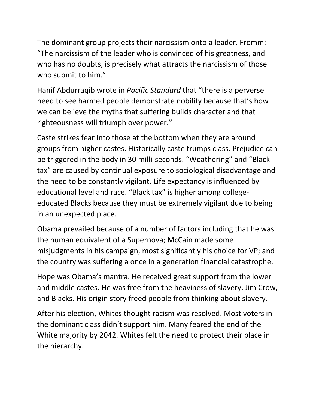The dominant group projects their narcissism onto a leader. Fromm: "The narcissism of the leader who is convinced of his greatness, and who has no doubts, is precisely what attracts the narcissism of those who submit to him."

Hanif Abdurraqib wrote in *Pacific Standard* that "there is a perverse need to see harmed people demonstrate nobility because that's how we can believe the myths that suffering builds character and that righteousness will triumph over power."

Caste strikes fear into those at the bottom when they are around groups from higher castes. Historically caste trumps class. Prejudice can be triggered in the body in 30 milli-seconds. "Weathering" and "Black tax" are caused by continual exposure to sociological disadvantage and the need to be constantly vigilant. Life expectancy is influenced by educational level and race. "Black tax" is higher among collegeeducated Blacks because they must be extremely vigilant due to being in an unexpected place.

Obama prevailed because of a number of factors including that he was the human equivalent of a Supernova; McCain made some misjudgments in his campaign, most significantly his choice for VP; and the country was suffering a once in a generation financial catastrophe.

Hope was Obama's mantra. He received great support from the lower and middle castes. He was free from the heaviness of slavery, Jim Crow, and Blacks. His origin story freed people from thinking about slavery.

After his election, Whites thought racism was resolved. Most voters in the dominant class didn't support him. Many feared the end of the White majority by 2042. Whites felt the need to protect their place in the hierarchy.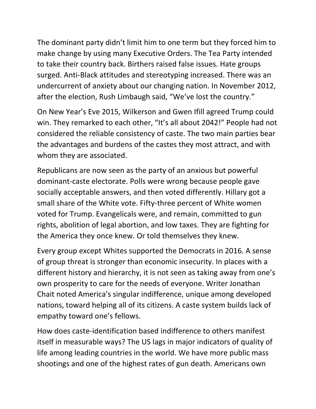The dominant party didn't limit him to one term but they forced him to make change by using many Executive Orders. The Tea Party intended to take their country back. Birthers raised false issues. Hate groups surged. Anti-Black attitudes and stereotyping increased. There was an undercurrent of anxiety about our changing nation. In November 2012, after the election, Rush Limbaugh said, "We've lost the country."

On New Year's Eve 2015, Wilkerson and Gwen Ifill agreed Trump could win. They remarked to each other, "It's all about 2042!" People had not considered the reliable consistency of caste. The two main parties bear the advantages and burdens of the castes they most attract, and with whom they are associated.

Republicans are now seen as the party of an anxious but powerful dominant-caste electorate. Polls were wrong because people gave socially acceptable answers, and then voted differently. Hillary got a small share of the White vote. Fifty-three percent of White women voted for Trump. Evangelicals were, and remain, committed to gun rights, abolition of legal abortion, and low taxes. They are fighting for the America they once knew. Or told themselves they knew.

Every group except Whites supported the Democrats in 2016. A sense of group threat is stronger than economic insecurity. In places with a different history and hierarchy, it is not seen as taking away from one's own prosperity to care for the needs of everyone. Writer Jonathan Chait noted America's singular indifference, unique among developed nations, toward helping all of its citizens. A caste system builds lack of empathy toward one's fellows.

How does caste-identification based indifference to others manifest itself in measurable ways? The US lags in major indicators of quality of life among leading countries in the world. We have more public mass shootings and one of the highest rates of gun death. Americans own